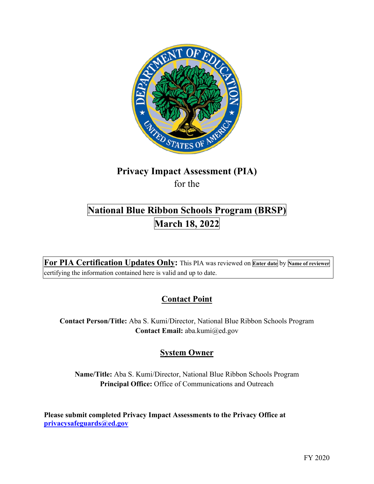

# **Privacy Impact Assessment (PIA)**

for the

# **National Blue Ribbon Schools Program (BRSP) March 18, 2022**

 **For PIA Certification Updates Only:** This PIA was reviewed on **Enter date** by **Name of reviewer**  certifying the information contained here is valid and up to date.

# **Contact Point**

**Contact Person/Title:** Aba S. Kumi/Director, National Blue Ribbon Schools Program **Contact Email:** [aba.kumi@ed.gov](mailto:aba.kumi@ed.gov)

# **System Owner**

**Name/Title:** Aba S. Kumi/Director, National Blue Ribbon Schools Program **Principal Office:** Office of Communications and Outreach

 **[privacysafeguards@ed.gov](mailto:privacysafeguards@ed.gov) Please submit completed Privacy Impact Assessments to the Privacy Office at**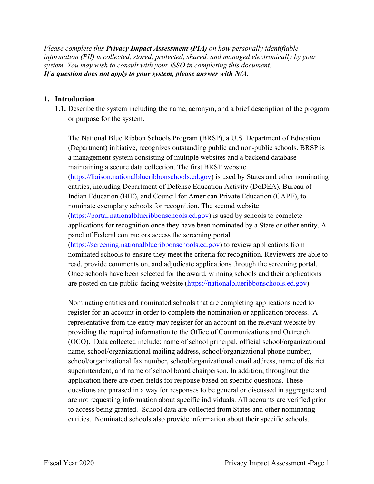*Please complete this Privacy Impact Assessment (PIA) on how personally identifiable information (PII) is collected, stored, protected, shared, and managed electronically by your system. You may wish to consult with your ISSO in completing this document. If a question does not apply to your system, please answer with N/A.* 

### **1. Introduction**

 **1.1.** Describe the system including the name, acronym, and a brief description of the program or purpose for the system.

 panel of Federal contractors access the screening portal The National Blue Ribbon Schools Program (BRSP), a U.S. Department of Education (Department) initiative, recognizes outstanding public and non-public schools. BRSP is a management system consisting of multiple websites and a backend database maintaining a secure data collection. The first BRSP website ([https://liaison.nationalblueribbonschools.ed.gov\)](https://liaison.nationalblueribbonschools.ed.gov) is used by States and other nominating entities, including Department of Defense Education Activity (DoDEA), Bureau of Indian Education (BIE), and Council for American Private Education (CAPE), to nominate exemplary schools for recognition. The second website ([https://portal.nationalblueribbonschools.ed.gov\)](https://portal.nationalblueribbonschools.ed.gov) is used by schools to complete applications for recognition once they have been nominated by a State or other entity. A ([https://screening.nationalblueribbonschools.ed.gov\)](https://screening.nationalblueribbonschools.ed.gov) to review applications from nominated schools to ensure they meet the criteria for recognition. Reviewers are able to read, provide comments on, and adjudicate applications through the screening portal. Once schools have been selected for the award, winning schools and their applications

are posted on the public-facing website (<https://nationalblueribbonschools.ed.gov>).<br>Nominating entities and nominated schools that are completing applications need to to access being granted. School data are collected from States and other nominating register for an account in order to complete the nomination or application process. A representative from the entity may register for an account on the relevant website by providing the required information to the Office of Communications and Outreach (OCO). Data collected include: name of school principal, official school/organizational name, school/organizational mailing address, school/organizational phone number, school/organizational fax number, school/organizational email address, name of district superintendent, and name of school board chairperson. In addition, throughout the application there are open fields for response based on specific questions. These questions are phrased in a way for responses to be general or discussed in aggregate and are not requesting information about specific individuals. All accounts are verified prior entities. Nominated schools also provide information about their specific schools.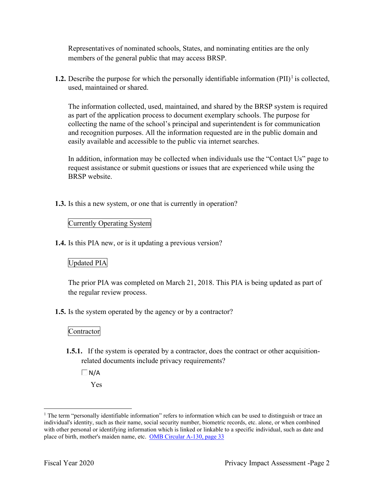Representatives of nominated schools, States, and nominating entities are the only members of the general public that may access BRSP.

**1.2.** Describe the purpose for which the personally identifiable information  $(PII)^{1}$  is collected, used, maintained or shared.

 The information collected, used, maintained, and shared by the BRSP system is required as part of the application process to document exemplary schools. The purpose for collecting the name of the school's principal and superintendent is for communication and recognition purposes. All the information requested are in the public domain and easily available and accessible to the public via internet searches.

In addition, information may be collected when individuals use the "Contact Us" page to request assistance or submit questions or issues that are experienced while using the BRSP website.

**1.3.** Is this a new system, or one that is currently in operation?

### Currently Operating System

**1.4.** Is this PIA new, or is it updating a previous version?

### Updated PIA

The prior PIA was completed on March 21, 2018. This PIA is being updated as part of the regular review process.

**1.5.** Is the system operated by the agency or by a contractor?

### Contractor

**1.5.1.** If the system is operated by a contractor, does the contract or other acquisitionrelated documents include privacy requirements?

 $\Box$ N/A Yes

place of birth, mother's maiden name, etc. OMB Circular A-130, page 33 <sup>1</sup> The term "personally identifiable information" refers to information which can be used to distinguish or trace an individual's identity, such as their name, social security number, biometric records, etc. alone, or when combined with other personal or identifying information which is linked or linkable to a specific individual, such as date and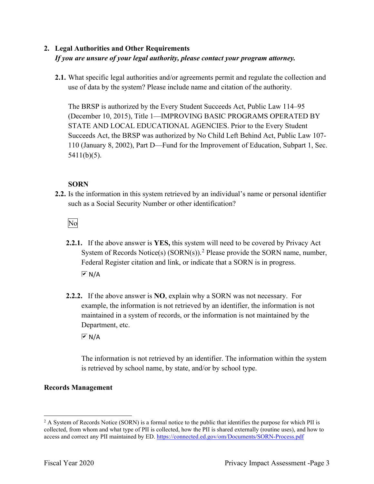### **2. Legal Authorities and Other Requirements**  *If you are unsure of your legal authority, please contact your program attorney.*

 **2.1.** What specific legal authorities and/or agreements permit and regulate the collection and use of data by the system? Please include name and citation of the authority.

 Succeeds Act, the BRSP was authorized by No Child Left Behind Act, Public Law 107- The BRSP is authorized by the Every Student Succeeds Act, Public Law 114–95 (December 10, 2015), Title 1—IMPROVING BASIC PROGRAMS OPERATED BY STATE AND LOCAL EDUCATIONAL AGENCIES. Prior to the Every Student 110 (January 8, 2002), Part D—Fund for the Improvement of Education, Subpart 1, Sec. 5411(b)(5).

### **SORN**

such as a Social Security Number or other identification?<br>No **2.2.** Is the information in this system retrieved by an individual's name or personal identifier

- **2.2.1.** If the above answer is **YES,** this system will need to be covered by Privacy Act System of Records Notice(s)  $(SORN(s))$ .<sup>2</sup> Please provide the SORN name, number, Federal Register citation and link, or indicate that a SORN is in progress.  $\overline{\triangleright}$  N/A
- **2.2.2.** If the above answer is **NO**, explain why a SORN was not necessary. For Department, etc. example, the information is not retrieved by an identifier, the information is not maintained in a system of records, or the information is not maintained by the

 $\overline{M}$  N/A

 is retrieved by school name, by state, and/or by school type. The information is not retrieved by an identifier. The information within the system

### **Records Management**

access and correct any PII maintained by ED. https://connected.ed.gov/om/Documents/SORN-Process.pdf<br>Fiscal Year 2020 Privacy Impact Assessment -Page 3  $2$  A System of Records Notice (SORN) is a formal notice to the public that identifies the purpose for which PII is collected, from whom and what type of PII is collected, how the PII is shared externally (routine uses), and how to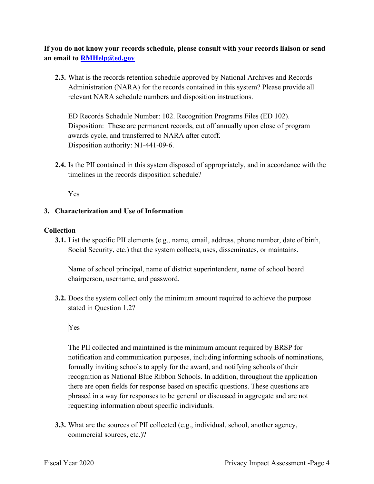**If you do not know your records schedule, please consult with your records liaison or send an email to [RMHelp@ed.gov](mailto:RMHelp@ed.gov)** 

 **2.3.** What is the records retention schedule approved by National Archives and Records Administration (NARA) for the records contained in this system? Please provide all relevant NARA schedule numbers and disposition instructions.

 awards cycle, and transferred to NARA after cutoff. ED Records Schedule Number: 102. Recognition Programs Files (ED 102). Disposition: These are permanent records, cut off annually upon close of program Disposition authority: N1-441-09-6.

**2.4.** Is the PII contained in this system disposed of appropriately, and in accordance with the timelines in the records disposition schedule?

Yes

### **3. Characterization and Use of Information**

### **Collection**

**3.1.** List the specific PII elements (e.g., name, email, address, phone number, date of birth, Social Security, etc.) that the system collects, uses, disseminates, or maintains.

Name of school principal, name of district superintendent, name of school board chairperson, username, and password.

stated in Question 1.2?<br>Yes **3.2.** Does the system collect only the minimum amount required to achieve the purpose

 notification and communication purposes, including informing schools of nominations, formally inviting schools to apply for the award, and notifying schools of their The PII collected and maintained is the minimum amount required by BRSP for recognition as National Blue Ribbon Schools. In addition, throughout the application there are open fields for response based on specific questions. These questions are phrased in a way for responses to be general or discussed in aggregate and are not requesting information about specific individuals.

**3.3.** What are the sources of PII collected (e.g., individual, school, another agency, commercial sources, etc.)?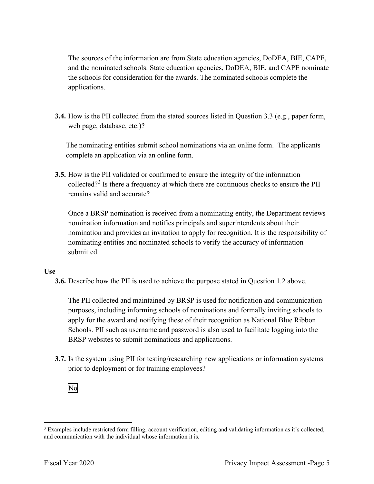and the nominated schools. State education agencies, DoDEA, BIE, and CAPE nominate The sources of the information are from State education agencies, DoDEA, BIE, CAPE, the schools for consideration for the awards. The nominated schools complete the applications.

 **3.4.** How is the PII collected from the stated sources listed in Question 3.3 (e.g., paper form, web page, database, etc.)?

 The nominating entities submit school nominations via an online form. The applicants complete an application via an online form.

**3.5.** How is the PII validated or confirmed to ensure the integrity of the information collected?<sup>3</sup> Is there a frequency at which there are continuous checks to ensure the PII remains valid and accurate?

 Once a BRSP nomination is received from a nominating entity, the Department reviews nomination information and notifies principals and superintendents about their nomination and provides an invitation to apply for recognition. It is the responsibility of nominating entities and nominated schools to verify the accuracy of information submitted.

### **Use**

**3.6.** Describe how the PII is used to achieve the purpose stated in Question 1.2 above.

 purposes, including informing schools of nominations and formally inviting schools to apply for the award and notifying these of their recognition as National Blue Ribbon The PII collected and maintained by BRSP is used for notification and communication Schools. PII such as username and password is also used to facilitate logging into the BRSP websites to submit nominations and applications.

 **3.7.** Is the system using PII for testing/researching new applications or information systems prior to deployment or for training employees?<br>No



and communication with the individual whose information it is. <sup>3</sup> Examples include restricted form filling, account verification, editing and validating information as it's collected, and communication with the individual whose information it is.<br>Fiscal Year 2020 Privacy Impact Assessment -Page 5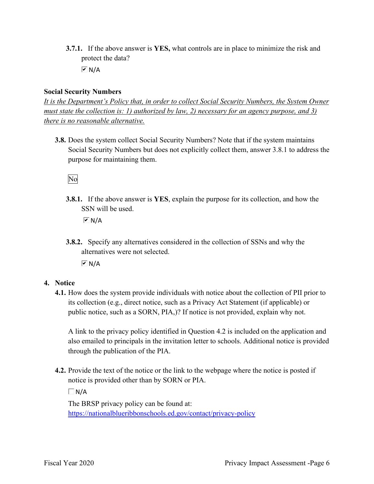**3.7.1.** If the above answer is **YES,** what controls are in place to minimize the risk and protect the data?

 $\overline{M}$  N/A

### **Social Security Numbers**

*It is the Department's Policy that, in order to collect Social Security Numbers, the System Owner must state the collection is: 1) authorized by law, 2) necessary for an agency purpose, and 3) there is no reasonable alternative.* 

 **3.8.** Does the system collect Social Security Numbers? Note that if the system maintains Social Security Numbers but does not explicitly collect them, answer 3.8.1 to address the purpose for maintaining them.



**3.8.1.** If the above answer is **YES**, explain the purpose for its collection, and how the SSN will be used.

 $M/N$ 

 **3.8.2.** Specify any alternatives considered in the collection of SSNs and why the alternatives were not selected.

 $\overline{\triangleright}$  N/A

### **4. Notice**

 its collection (e.g., direct notice, such as a Privacy Act Statement (if applicable) or public notice, such as a SORN, PIA,)? If notice is not provided, explain why not. **4.1.** How does the system provide individuals with notice about the collection of PII prior to

 through the publication of the PIA. A link to the privacy policy identified in Question 4.2 is included on the application and also emailed to principals in the invitation letter to schools. Additional notice is provided

**4.2.** Provide the text of the notice or the link to the webpage where the notice is posted if notice is provided other than by SORN or PIA.

 $\Box$ N/A

 The BRSP privacy policy can be found at: <https://nationalblueribbonschools.ed.gov/contact/privacy-policy>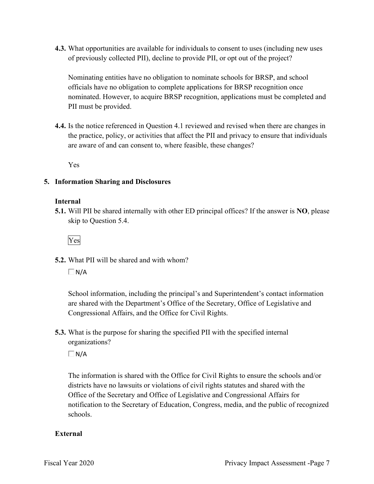**4.3.** What opportunities are available for individuals to consent to uses (including new uses of previously collected PII), decline to provide PII, or opt out of the project?

Nominating entities have no obligation to nominate schools for BRSP, and school officials have no obligation to complete applications for BRSP recognition once nominated. However, to acquire BRSP recognition, applications must be completed and PII must be provided.

 are aware of and can consent to, where feasible, these changes? **4.4.** Is the notice referenced in Question 4.1 reviewed and revised when there are changes in the practice, policy, or activities that affect the PII and privacy to ensure that individuals

Yes

### **5. Information Sharing and Disclosures**

### **Internal**

 **5.1.** Will PII be shared internally with other ED principal offices? If the answer is **NO**, please skip to Question 5.4.

Yes

**5.2.** What PII will be shared and with whom?

 $\Box$ N/A

 Congressional Affairs, and the Office for Civil Rights. School information, including the principal's and Superintendent's contact information are shared with the Department's Office of the Secretary, Office of Legislative and

 organizations? **5.3.** What is the purpose for sharing the specified PII with the specified internal

 $\Box$ N/A

 The information is shared with the Office for Civil Rights to ensure the schools and/or districts have no lawsuits or violations of civil rights statures and shared with the districts have no lawsuits or violations of civil rights statutes and shared with the Office of the Secretary and Office of Legislative and Congressional Affairs for notification to the Secretary of Education, Congress, media, and the public of recognized schools.

### **External**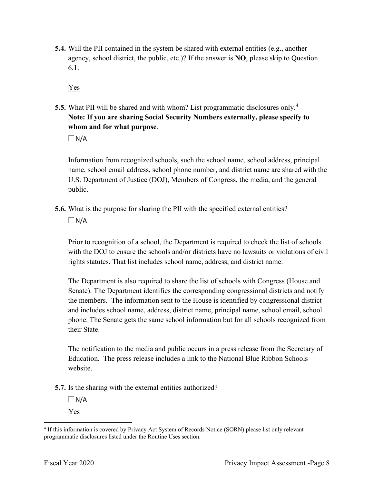- **5.4.** Will the PII contained in the system be shared with external entities (e.g., another agency, school district, the public, etc.)? If the answer is **NO**, please skip to Question 6.1.
	- Yes
- **5.5.** What PII will be shared and with whom? List programmatic disclosures only.<sup>4</sup> **Note: If you are sharing Social Security Numbers externally, please specify to whom and for what purpose**.

 $\Box$ N/A

 name, school email address, school phone number, and district name are shared with the U.S. Department of Justice (DOJ), Members of Congress, the media, and the general Information from recognized schools, such the school name, school address, principal public.

**5.6.** What is the purpose for sharing the PII with the specified external entities?

 $\Box$ N/A

 Prior to recognition of a school, the Department is required to check the list of schools with the DOJ to ensure the schools and/or districts have no lawsuits or violations of civil rights statutes. That list includes school name, address, and district name.

 Senate). The Department identifies the corresponding congressional districts and notify The Department is also required to share the list of schools with Congress (House and the members. The information sent to the House is identified by congressional district and includes school name, address, district name, principal name, school email, school phone. The Senate gets the same school information but for all schools recognized from their State.

 Education. The press release includes a link to the National Blue Ribbon Schools The notification to the media and public occurs in a press release from the Secretary of website.

**5.7.** Is the sharing with the external entities authorized?

 $\Box$  N/A Yes

<sup>4</sup> If this information is covered by Privacy Act System of Records Notice (SORN) please list only relevant programmatic disclosures listed under the Routine Uses section.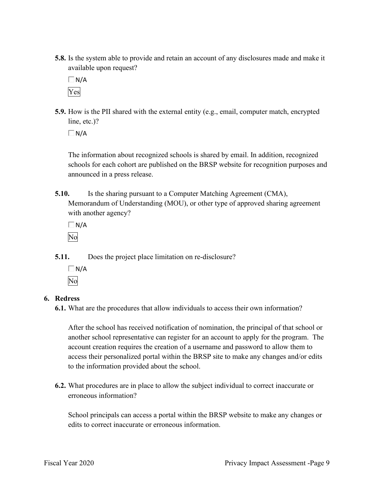**5.8.** Is the system able to provide and retain an account of any disclosures made and make it available upon request?

 $\Box$ N/A Yes

 **5.9.** How is the PII shared with the external entity (e.g., email, computer match, encrypted line, etc.)?

 $\Box$ N/A

The information about recognized schools is shared by email. In addition, recognized schools for each cohort are published on the BRSP website for recognition purposes and announced in a press release.

**5.10.** Is the sharing pursuant to a Computer Matching Agreement (CMA), Memorandum of Understanding (MOU), or other type of approved sharing agreement with another agency?

 $\Box$  N/A No

**5.11.** Does the project place limitation on re-disclosure?

 $\Box N/A$ No

### **6. Redress**

**6.1.** What are the procedures that allow individuals to access their own information?

After the school has received notification of nomination, the principal of that school or another school representative can register for an account to apply for the program. The account creation requires the creation of a username and password to allow them to access their personalized portal within the BRSP site to make any changes and/or edits to the information provided about the school.

**6.2.** What procedures are in place to allow the subject individual to correct inaccurate or erroneous information?

 School principals can access a portal within the BRSP website to make any changes or edits to correct inaccurate or erroneous information.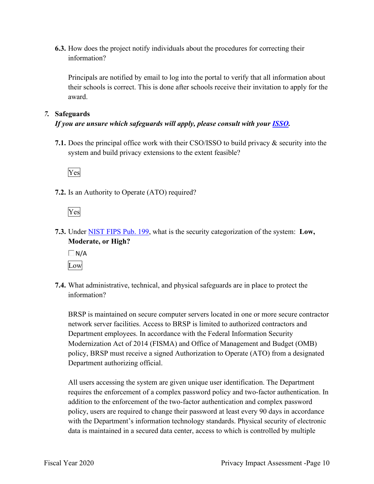**6.3.** How does the project notify individuals about the procedures for correcting their information?

 their schools is correct. This is done after schools receive their invitation to apply for the Principals are notified by email to log into the portal to verify that all information about award.

### *7.* **Safeguards**

### *If you are unsure which safeguards will apply, please consult with your ISSO.*

 system and build privacy extensions to the extent feasible? **7.1.** Does the principal office work with their CSO/ISSO to build privacy & security into the



**7.2.** Is an Authority to Operate (ATO) required?

Yes

**7.3.** Under NIST FIPS Pub. 199, what is the security categorization of the system: **Low, Moderate, or High?** 

 $\Box$ N/A Low

**7.4.** What administrative, technical, and physical safeguards are in place to protect the information?

 BRSP is maintained on secure computer servers located in one or more secure contractor policy, BRSP must receive a signed Authorization to Operate (ATO) from a designated Department authorizing official. network server facilities. Access to BRSP is limited to authorized contractors and Department employees. In accordance with the Federal Information Security Modernization Act of 2014 (FISMA) and Office of Management and Budget (OMB)

 All users accessing the system are given unique user identification. The Department requires the enforcement of a complex password policy and two-factor authentication. In addition to the enforcement of the two-factor authentication and complex password policy, users are required to change their password at least every 90 days in accordance with the Department's information technology standards. Physical security of electronic data is maintained in a secured data center, access to which is controlled by multiple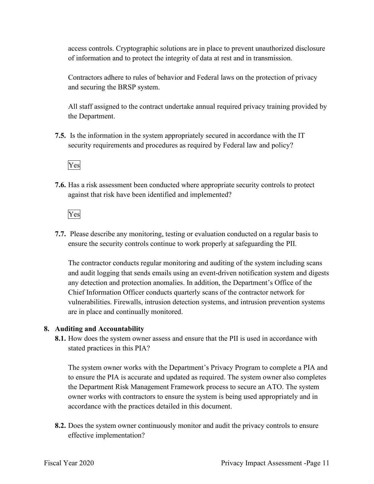of information and to protect the integrity of data at rest and in transmission. access controls. Cryptographic solutions are in place to prevent unauthorized disclosure

 and securing the BRSP system. Contractors adhere to rules of behavior and Federal laws on the protection of privacy

 All staff assigned to the contract undertake annual required privacy training provided by the Department.

 **7.5.** Is the information in the system appropriately secured in accordance with the IT security requirements and procedures as required by Federal law and policy?

Yes

**7.6.** Has a risk assessment been conducted where appropriate security controls to protect against that risk have been identified and implemented?

Yes

 ensure the security controls continue to work properly at safeguarding the PII. **7.7.** Please describe any monitoring, testing or evaluation conducted on a regular basis to

The contractor conducts regular monitoring and auditing of the system including scans and audit logging that sends emails using an event-driven notification system and digests any detection and protection anomalies. In addition, the Department's Office of the Chief Information Officer conducts quarterly scans of the contractor network for vulnerabilities. Firewalls, intrusion detection systems, and intrusion prevention systems are in place and continually monitored.

### **8. Auditing and Accountability**

 **8.1.** How does the system owner assess and ensure that the PII is used in accordance with stated practices in this PIA?

 the Department Risk Management Framework process to secure an ATO. The system The system owner works with the Department's Privacy Program to complete a PIA and to ensure the PIA is accurate and updated as required. The system owner also completes owner works with contractors to ensure the system is being used appropriately and in accordance with the practices detailed in this document.

 **8.2.** Does the system owner continuously monitor and audit the privacy controls to ensure effective implementation?